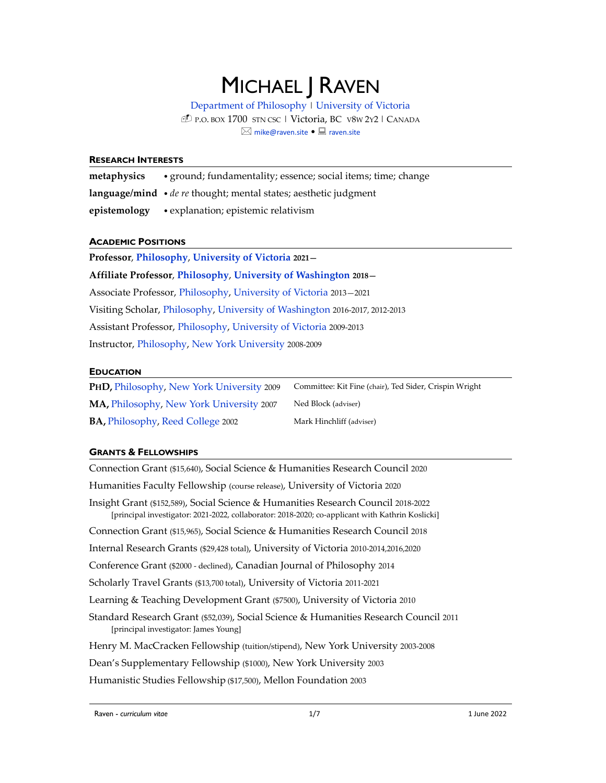# MICHAEL J RAVEN

[Department of Philosophy](https://www.uvic.ca/humanities/philosophy/) | [University of Victoria](https://www.uvic.ca/) P.O. BOX 1700 STN CSC | Victoria, BC V8W 2Y2 | CANADA  $\boxtimes$  [mike@raven.site](mailto:mike@raven.site) •  $\blacksquare$  [raven.site](https://raven.site/)

## **RESEARCH INTERESTS**

**metaphysics** • ground; fundamentality; essence; social items; time; change **language/mind** • *de re* thought; mental states; aesthetic judgment **epistemology** • explanation; epistemic relativism

#### **ACADEMIC POSITIONS**

**Professor**, **[Philosophy](https://www.uvic.ca/humanities/philosophy/)**, **[University of Victoria](https://www.uvic.ca/) 2021— Affiliate Professor**, **[Philosophy](https://phil.washington.edu/)**, **[University of Washington](https://www.washington.edu/) 2018—** Associate Professor, [Philosophy,](https://www.uvic.ca/humanities/philosophy/) [University of Victoria](https://www.uvic.ca/) 2013—2021 Visiting Scholar, [Philosophy,](https://phil.washington.edu/) [University of Washington](https://www.washington.edu/) 2016-2017, 2012-2013 Assistant Professor[, Philosophy,](https://www.uvic.ca/humanities/philosophy/) [University of Victoria](https://www.uvic.ca/) 2009-2013 Instructor[, Philosophy,](https://as.nyu.edu/philosophy.html) [New York University](https://www.nyu.edu/) 2008-2009

## **EDUCATION**

**PHD,** [Philosophy,](https://as.nyu.edu/philosophy.html) [New York University](https://www.nyu.edu/) 2009 Committee: Kit Fine (chair), Ted Sider, Crispin Wright MA, [Philosophy,](https://as.nyu.edu/philosophy.html) [New York University](https://www.nyu.edu/) 2007 Ned Block (adviser) **BA,** [Philosophy,](https://www.reed.edu/philosophy/index.html) [Reed College](https://www.reed.edu/) 2002 Mark Hinchliff (adviser)

## **GRANTS & FELLOWSHIPS**

Connection Grant (\$15,640), Social Science & Humanities Research Council 2020 Humanities Faculty Fellowship (course release), University of Victoria 2020 Insight Grant (\$152,589), Social Science & Humanities Research Council 2018-2022 [principal investigator: 2021-2022, collaborator: 2018-2020; co-applicant with Kathrin Koslicki] Connection Grant (\$15,965), Social Science & Humanities Research Council 2018 Internal Research Grants (\$29,428 total), University of Victoria 2010-2014,2016,2020 Conference Grant (\$2000 - declined), Canadian Journal of Philosophy 2014 Scholarly Travel Grants (\$13,700 total), University of Victoria 2011-2021 Learning & Teaching Development Grant (\$7500), University of Victoria 2010 Standard Research Grant (\$52,039), Social Science & Humanities Research Council 2011 [principal investigator: James Young] Henry M. MacCracken Fellowship (tuition/stipend), New York University 2003-2008 Dean's Supplementary Fellowship (\$1000), New York University 2003 Humanistic Studies Fellowship (\$17,500), Mellon Foundation 2003

Raven - *curriculum vitae* and the control of the control of the 1/7 1 June 2022 **1** June 2022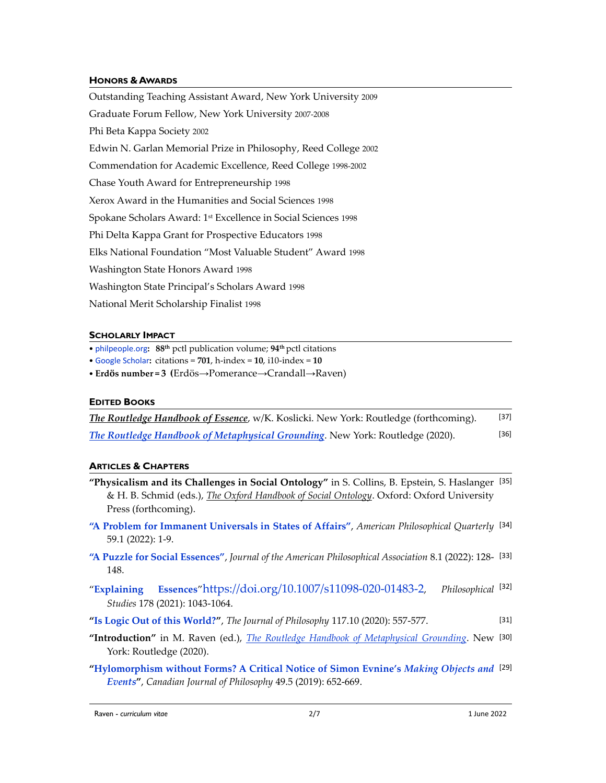## **HONORS &AWARDS**

Outstanding Teaching Assistant Award, New York University 2009 Graduate Forum Fellow, New York University 2007-2008 Phi Beta Kappa Society 2002 Edwin N. Garlan Memorial Prize in Philosophy, Reed College 2002 Commendation for Academic Excellence, Reed College 1998-2002 Chase Youth Award for Entrepreneurship 1998 Xerox Award in the Humanities and Social Sciences 1998 Spokane Scholars Award: 1st Excellence in Social Sciences 1998 Phi Delta Kappa Grant for Prospective Educators 1998 Elks National Foundation "Most Valuable Student" Award 1998 Washington State Honors Award 1998 Washington State Principal's Scholars Award 1998 National Merit Scholarship Finalist 1998

## **SCHOLARLY IMPACT**

• [philpeople.org](https://philpeople.org/profiles/michael-j-raven/metrics)**: 88 th** pctl publication volume; **94 th** pctl citations

 $\bullet$  [Google Scholar](https://scholar.google.com/citations?user=l5NC0ZAAAAAJ&hl=en): citations =  $701$ , h-index =  $10$ , i10-index =  $10$ 

• **Erdös number = 3 (**Erdös→Pomerance→Crandall→Raven)

## **EDITED BOOKS**

| The Routledge Handbook of Essence, w/K. Koslicki. New York: Routledge (forthcoming). | $[37]$ |
|--------------------------------------------------------------------------------------|--------|
| The Routledge Handbook of Metaphysical Grounding. New York: Routledge (2020).        | [36]   |

## **ARTICLES & CHAPTERS**

- **"Physicalism and its Challenges in Social Ontology"** in S. Collins, B. Epstein, S. Haslanger [35] & H. B. Schmid (eds.), *The Oxford Handbook of Social Ontology*. Oxford: Oxford University Press (forthcoming).
- **["A Problem for Immanent Universals in States of Affairs"](https://scholarlypublishingcollective.org/uip/apq/article-abstract/59/1/1/293918/A-Problem-for-Immanent-Universals-in-States-of?redirectedFrom=PDF)**, *American Philosophical Quarterly* [34] 59.1 (2022): 1-9.
- **["A Puzzle for Social Essences"](https://doi.org/10.1017/apa.2020.48)**, *Journal of the American Philosophical Association* 8.1 (2022): 128- [33] 148.
- "**[Explaining Essences](https://doi.org/10.1007/s11098-020-01483-2)**"<https://doi.org/10.1007/s11098-020-01483-2>, *Philosophical Studies* 178 (2021): 1043-1064. Philosophical<sup>[32]</sup>
- **["Is Logic Out of this World?"](https://doi.org/10.5840/jphil20201171036)**, *The Journal of Philosophy* 117.10 (2020): 557-577. [31]
- **"Introduction"** in M. Raven (ed.), *[The Routledge Handbook of Metaphysical Grounding](https://www.routledge.com/The-Routledge-Handbook-of-Metaphysical-Grounding-1st-Edition/Raven/p/book/9780815366492)*. New [30] York: Routledge (2020).
- **["Hylomorphism without Forms? A Critical Notice of Simon Evnine's](http://dx.doi.org/10.1080/00455091.2018.1445174)** *Making Objects and*  [29]*[Events](http://dx.doi.org/10.1080/00455091.2018.1445174)***"**, *Canadian Journal of Philosophy* 49.5 (2019): 652-669.

Raven - *curriculum vitae* and the control of the control of the 2022 **1** June 2022 **1** June 2022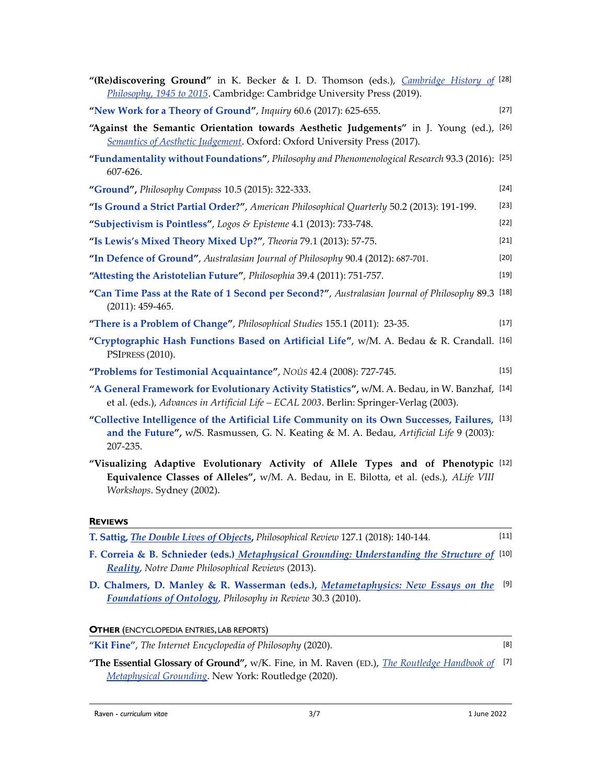| "(Re)discovering Ground" in K. Becker & I. D. Thomson (eds.), <i>Cambridge History of</i> [28]<br>Philosophy, 1945 to 2015. Cambridge: Cambridge University Press (2019).                                   |        |
|-------------------------------------------------------------------------------------------------------------------------------------------------------------------------------------------------------------|--------|
| "New Work for a Theory of Ground", Inquiry 60.6 (2017): 625-655.                                                                                                                                            | $[27]$ |
| "Against the Semantic Orientation towards Aesthetic Judgements" in J. Young (ed.), [26]<br>Semantics of Aesthetic Judgement. Oxford: Oxford University Press (2017).                                        |        |
| "Fundamentality without Foundations", Philosophy and Phenomenological Research 93.3 (2016): [25]<br>607-626.                                                                                                |        |
| "Ground", Philosophy Compass 10.5 (2015): 322-333.                                                                                                                                                          | $[24]$ |
| "Is Ground a Strict Partial Order?", American Philosophical Quarterly 50.2 (2013): 191-199.                                                                                                                 | $[23]$ |
| "Subjectivism is Pointless", Logos & Episteme 4.1 (2013): 733-748.                                                                                                                                          | $[22]$ |
| "Is Lewis's Mixed Theory Mixed Up?", Theoria 79.1 (2013): 57-75.                                                                                                                                            | $[21]$ |
| "In Defence of Ground", Australasian Journal of Philosophy 90.4 (2012): 687-701.                                                                                                                            | $[20]$ |
| "Attesting the Aristotelian Future", Philosophia 39.4 (2011): 751-757.                                                                                                                                      | $[19]$ |
| "Can Time Pass at the Rate of 1 Second per Second?", Australasian Journal of Philosophy 89.3 [18]<br>$(2011): 459-465.$                                                                                     |        |
| "There is a Problem of Change", Philosophical Studies 155.1 (2011): 23-35.                                                                                                                                  | $[17]$ |
| "Cryptographic Hash Functions Based on Artificial Life", w/M. A. Bedau & R. Crandall. [16]<br>PSIPRESS (2010).                                                                                              |        |
| "Problems for Testimonial Acquaintance", NOUs 42.4 (2008): 727-745.                                                                                                                                         | $[15]$ |
| "A General Framework for Evolutionary Activity Statistics", w/M. A. Bedau, in W. Banzhaf, [14]<br>et al. (eds.), Advances in Artificial Life - ECAL 2003. Berlin: Springer-Verlag (2003).                   |        |
| "Collective Intelligence of the Artificial Life Community on its Own Successes, Failures, [13]<br>and the Future", w/S. Rasmussen, G. N. Keating & M. A. Bedau, Artificial Life 9 (2003):<br>207-235.       |        |
| "Visualizing Adaptive Evolutionary Activity of Allele Types and of Phenotypic [12]<br>Equivalence Classes of Alleles", w/M. A. Bedau, in E. Bilotta, et al. (eds.), ALife VIII<br>Workshops. Sydney (2002). |        |

## **REVIEWS**

| T. Sattig, The Double Lives of Objects, Philosophical Review 127.1 (2018): 140-144. | $[11]$ |
|-------------------------------------------------------------------------------------|--------|
|-------------------------------------------------------------------------------------|--------|

- **F. Correia & B. Schnieder (eds.)** *[Metaphysical Grounding: Understanding the Structure of](http://ndpr.nd.edu/news/39400-metaphysical-grounding-understanding-the-structure-of-reality/)*  [10] *[Reality](http://ndpr.nd.edu/news/39400-metaphysical-grounding-understanding-the-structure-of-reality/)*, *Notre Dame Philosophical Reviews* (2013).
- **D. Chalmers, D. Manley & R. Wasserman (eds.),** *[Metametaphysics: New Essays on the](http://journals.uvic.ca/index.php/pir/article/view/911/470)*  [9] *[Foundations of Ontology](http://journals.uvic.ca/index.php/pir/article/view/911/470)*, *Philosophy in Review* 30.3 (2010).

# **OTHER** (ENCYCLOPEDIA ENTRIES, LAB REPORTS)

**["Kit Fine"](https://iep.utm.edu/fine-k/)**, *The Internet Encyclopedia of Philosophy* (2020). [8]

**"The Essential Glossary of Ground",** w/K. Fine, in M. Raven (ED.), *[The Routledge Handbook of](https://www.routledge.com/The-Routledge-Handbook-of-Metaphysical-Grounding-1st-Edition/Raven/p/book/9780815366492)*  [7]*[Metaphysical Grounding](https://www.routledge.com/The-Routledge-Handbook-of-Metaphysical-Grounding-1st-Edition/Raven/p/book/9780815366492)*. New York: Routledge (2020).

Raven - *curriculum vitae* **12022 12022 12022 12022 12022 12022 12022 12022 12022 12022 12022 12022 12022 12022 12022 12022 12022 12022 12022 12022 12022 12022 12022 12022 12**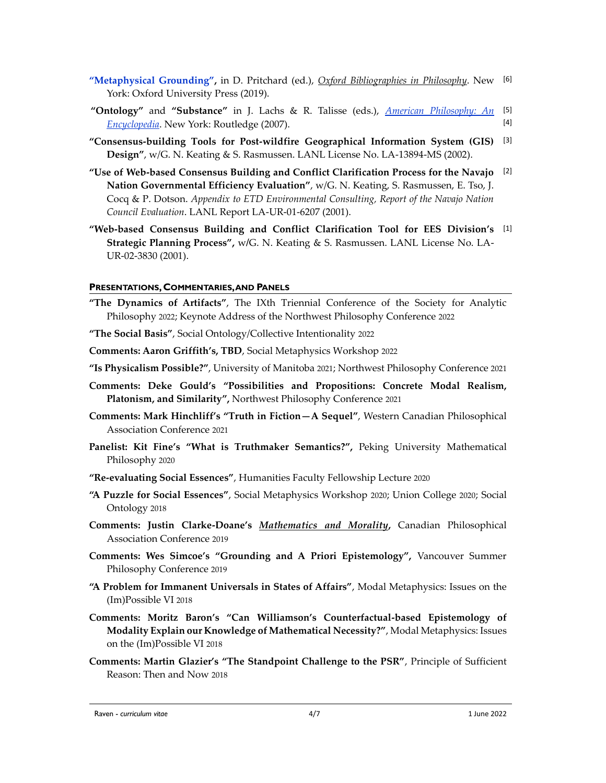- **["Metaphysical Grounding",](http://www.oxfordbibliographies.com/view/document/obo-9780195396577/obo-9780195396577-0389.xml)** in D. Pritchard (ed.), *Oxford Bibliographies in Philosophy*. New [6] York: Oxford University Press (2019).
- **"Ontology"** and **"Substance"** in J. Lachs & R. Talisse (eds.), *[American Philosophy: An](https://www.routledge.com/American-Philosophy-An-Encyclopedia-1st-Edition/Lachs-Talisse/p/book/9780415939263)  [Encyclopedia](https://www.routledge.com/American-Philosophy-An-Encyclopedia-1st-Edition/Lachs-Talisse/p/book/9780415939263)*. New York: Routledge (2007). [5] [4]
- **"Consensus-building Tools for Post-wildfire Geographical Information System (GIS)**  [3] **Design"**, w/G. N. Keating & S. Rasmussen. LANL License No. LA-13894-MS (2002).
- **"Use of Web-based Consensus Building and Conflict Clarification Process for the Navajo**  [2] **Nation Governmental Efficiency Evaluation"**, w/G. N. Keating, S. Rasmussen, E. Tso, J. Cocq & P. Dotson. *Appendix to ETD Environmental Consulting, Report of the Navajo Nation Council Evaluation*. LANL Report LA-UR-01-6207 (2001).
- **"Web-based Consensus Building and Conflict Clarification Tool for EES Division's**  [1] **Strategic Planning Process",** w**/**G. N. Keating & S. Rasmussen. LANL License No. LA-UR-02-3830 (2001).

#### **PRESENTATIONS,COMMENTARIES,AND PANELS**

- **"The Dynamics of Artifacts"**, The IXth Triennial Conference of the Society for Analytic Philosophy 2022; Keynote Address of the Northwest Philosophy Conference 2022
- **"The Social Basis"**, Social Ontology/Collective Intentionality 2022
- **Comments: Aaron Griffith's, TBD**, Social Metaphysics Workshop 2022
- **"Is Physicalism Possible?"**, University of Manitoba 2021; Northwest Philosophy Conference 2021
- **Comments: Deke Gould's "Possibilities and Propositions: Concrete Modal Realism, Platonism, and Similarity",** Northwest Philosophy Conference 2021
- **Comments: Mark Hinchliff's "Truth in Fiction—A Sequel"**, Western Canadian Philosophical Association Conference 2021
- **Panelist: Kit Fine's "What is Truthmaker Semantics?",** Peking University Mathematical Philosophy 2020
- **"Re-evaluating Social Essences"**, Humanities Faculty Fellowship Lecture 2020
- **"A Puzzle for Social Essences"**, Social Metaphysics Workshop 2020; Union College 2020; Social Ontology 2018
- **Comments: Justin Clarke-Doane's** *Mathematics and Morality***,** Canadian Philosophical Association Conference 2019
- **Comments: Wes Simcoe's "Grounding and A Priori Epistemology",** Vancouver Summer Philosophy Conference 2019
- **"A Problem for Immanent Universals in States of Affairs"**, Modal Metaphysics: Issues on the (Im)Possible VI 2018
- **Comments: Moritz Baron's "Can Williamson's Counterfactual-based Epistemology of Modality Explain our Knowledge of Mathematical Necessity?"**, Modal Metaphysics: Issues on the (Im)Possible VI 2018
- **Comments: Martin Glazier's "The Standpoint Challenge to the PSR"**, Principle of Sufficient Reason: Then and Now 2018

Raven - *curriculum vitae* and the control of the control of the 4/7 **1** June 2022 **1** June 2022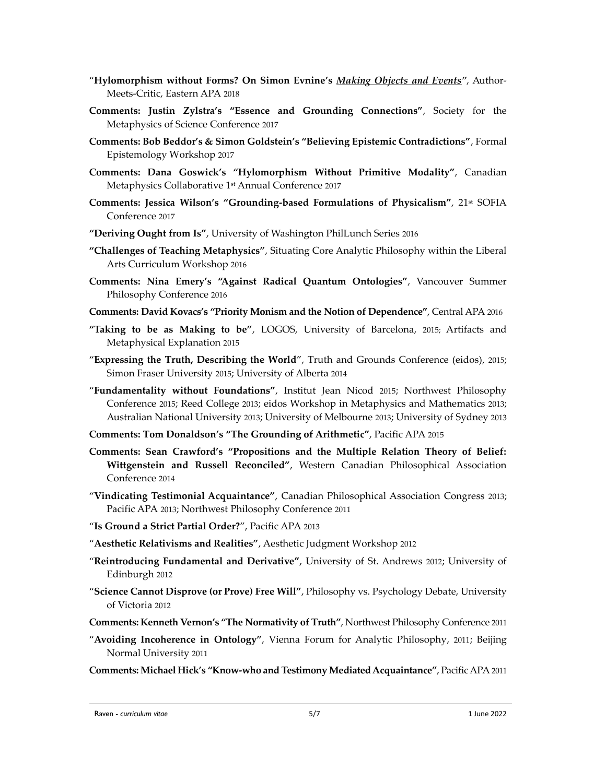- "**Hylomorphism without Forms? On Simon Evnine's** *Making Objects and Events"*, Author-Meets-Critic, Eastern APA 2018
- **Comments: Justin Zylstra's "Essence and Grounding Connections"**, Society for the Metaphysics of Science Conference 2017
- **Comments: Bob Beddor's & Simon Goldstein's "Believing Epistemic Contradictions"**, Formal Epistemology Workshop 2017
- **Comments: Dana Goswick's "Hylomorphism Without Primitive Modality"**, Canadian Metaphysics Collaborative 1st Annual Conference 2017
- **Comments: Jessica Wilson's "Grounding-based Formulations of Physicalism"**, 21st SOFIA Conference 2017
- **"Deriving Ought from Is"**, University of Washington PhilLunch Series 2016
- **"Challenges of Teaching Metaphysics"**, Situating Core Analytic Philosophy within the Liberal Arts Curriculum Workshop 2016
- **Comments: Nina Emery's "Against Radical Quantum Ontologies"**, Vancouver Summer Philosophy Conference 2016
- **Comments: David Kovacs's "Priority Monism and the Notion of Dependence"**, Central APA 2016
- **"Taking to be as Making to be"**, LOGOS, University of Barcelona, 2015; Artifacts and Metaphysical Explanation 2015
- "**Expressing the Truth, Describing the World**", Truth and Grounds Conference (eidos), 2015; Simon Fraser University 2015; University of Alberta 2014
- "**Fundamentality without Foundations"**, Institut Jean Nicod 2015; Northwest Philosophy Conference 2015; Reed College 2013; eidos Workshop in Metaphysics and Mathematics 2013; Australian National University 2013; University of Melbourne 2013; University of Sydney 2013
- **Comments: Tom Donaldson's "The Grounding of Arithmetic"**, Pacific APA 2015
- **Comments: Sean Crawford's "Propositions and the Multiple Relation Theory of Belief: Wittgenstein and Russell Reconciled"**, Western Canadian Philosophical Association Conference 2014
- "**Vindicating Testimonial Acquaintance"**, Canadian Philosophical Association Congress 2013; Pacific APA 2013; Northwest Philosophy Conference 2011
- "**Is Ground a Strict Partial Order?**", Pacific APA 2013
- "**Aesthetic Relativisms and Realities"**, Aesthetic Judgment Workshop 2012
- "**Reintroducing Fundamental and Derivative"**, University of St. Andrews 2012; University of Edinburgh 2012
- "**Science Cannot Disprove (or Prove) Free Will"**, Philosophy vs. Psychology Debate, University of Victoria 2012
- **Comments: Kenneth Vernon's "The Normativity of Truth"**, Northwest Philosophy Conference 2011
- "**Avoiding Incoherence in Ontology"**, Vienna Forum for Analytic Philosophy, 2011; Beijing Normal University 2011
- **Comments: Michael Hick's "Know-who and Testimony Mediated Acquaintance"**, Pacific APA 2011

Raven - *curriculum vitae* 5/7 1 June 2022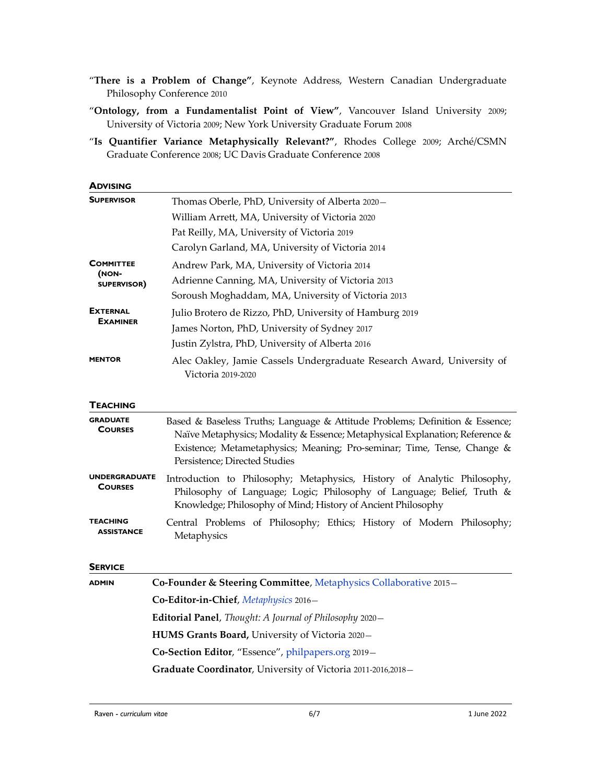- "**There is a Problem of Change"**, Keynote Address, Western Canadian Undergraduate Philosophy Conference 2010
- "**Ontology, from a Fundamentalist Point of View"**, Vancouver Island University 2009; University of Victoria 2009; New York University Graduate Forum 2008
- "**Is Quantifier Variance Metaphysically Relevant?"**, Rhodes College 2009; Arché/CSMN Graduate Conference 2008; UC Davis Graduate Conference 2008

| <b>ADVISING</b>                          |                                                                                              |
|------------------------------------------|----------------------------------------------------------------------------------------------|
| <b>SUPERVISOR</b>                        | Thomas Oberle, PhD, University of Alberta 2020–                                              |
|                                          | William Arrett, MA, University of Victoria 2020                                              |
|                                          | Pat Reilly, MA, University of Victoria 2019                                                  |
|                                          | Carolyn Garland, MA, University of Victoria 2014                                             |
| <b>COMMITTEE</b><br>(NON-<br>SUPERVISOR) | Andrew Park, MA, University of Victoria 2014                                                 |
|                                          | Adrienne Canning, MA, University of Victoria 2013                                            |
|                                          | Soroush Moghaddam, MA, University of Victoria 2013                                           |
| <b>EXTERNAL</b><br><b>EXAMINER</b>       | Julio Brotero de Rizzo, PhD, University of Hamburg 2019                                      |
|                                          | James Norton, PhD, University of Sydney 2017                                                 |
|                                          | Justin Zylstra, PhD, University of Alberta 2016                                              |
| <b>MENTOR</b>                            | Alec Oakley, Jamie Cassels Undergraduate Research Award, University of<br>Victoria 2019-2020 |

## **TEACHING**

| <b>GRADUATE</b><br><b>COURSES</b>      | Based & Baseless Truths; Language & Attitude Problems; Definition & Essence;<br>Naïve Metaphysics; Modality & Essence; Metaphysical Explanation; Reference &<br>Existence; Metametaphysics; Meaning; Pro-seminar; Time, Tense, Change &<br>Persistence; Directed Studies |
|----------------------------------------|--------------------------------------------------------------------------------------------------------------------------------------------------------------------------------------------------------------------------------------------------------------------------|
| <b>UNDERGRADUATE</b><br><b>COURSES</b> | Introduction to Philosophy; Metaphysics, History of Analytic Philosophy,<br>Philosophy of Language; Logic; Philosophy of Language; Belief, Truth &<br>Knowledge; Philosophy of Mind; History of Ancient Philosophy                                                       |
| <b>TEACHING</b><br><b>ASSISTANCE</b>   | Central Problems of Philosophy; Ethics; History of Modern Philosophy;<br>Metaphysics                                                                                                                                                                                     |
| <b>SERVICE</b>                         |                                                                                                                                                                                                                                                                          |
| <b>ADMIN</b>                           | Co-Founder & Steering Committee, Metaphysics Collaborative 2015-                                                                                                                                                                                                         |
|                                        | Co-Editor-in-Chief, Metaphysics 2016-                                                                                                                                                                                                                                    |
|                                        | <b>Editorial Panel</b> , Thought: A Journal of Philosophy 2020–                                                                                                                                                                                                          |
|                                        | HUMS Grants Board, University of Victoria 2020-                                                                                                                                                                                                                          |
|                                        | Co-Section Editor, "Essence", philpapers.org 2019-                                                                                                                                                                                                                       |
|                                        | Graduate Coordinator, University of Victoria 2011-2016,2018-                                                                                                                                                                                                             |